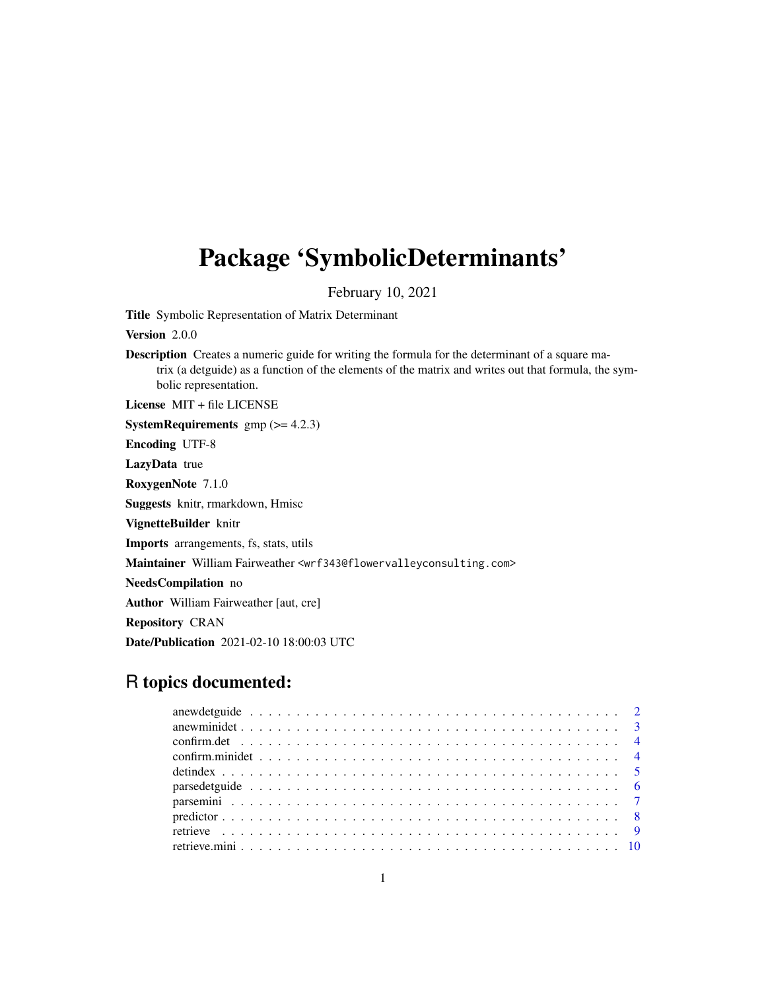# Package 'SymbolicDeterminants'

February 10, 2021

Title Symbolic Representation of Matrix Determinant

Version 2.0.0

Description Creates a numeric guide for writing the formula for the determinant of a square matrix (a detguide) as a function of the elements of the matrix and writes out that formula, the symbolic representation.

License MIT + file LICENSE

**SystemRequirements**  $gmp (= 4.2.3)$ 

Encoding UTF-8

LazyData true

RoxygenNote 7.1.0

Suggests knitr, rmarkdown, Hmisc

VignetteBuilder knitr

Imports arrangements, fs, stats, utils

Maintainer William Fairweather <wrf343@flowervalleyconsulting.com>

NeedsCompilation no

Author William Fairweather [aut, cre]

Repository CRAN

Date/Publication 2021-02-10 18:00:03 UTC

# R topics documented: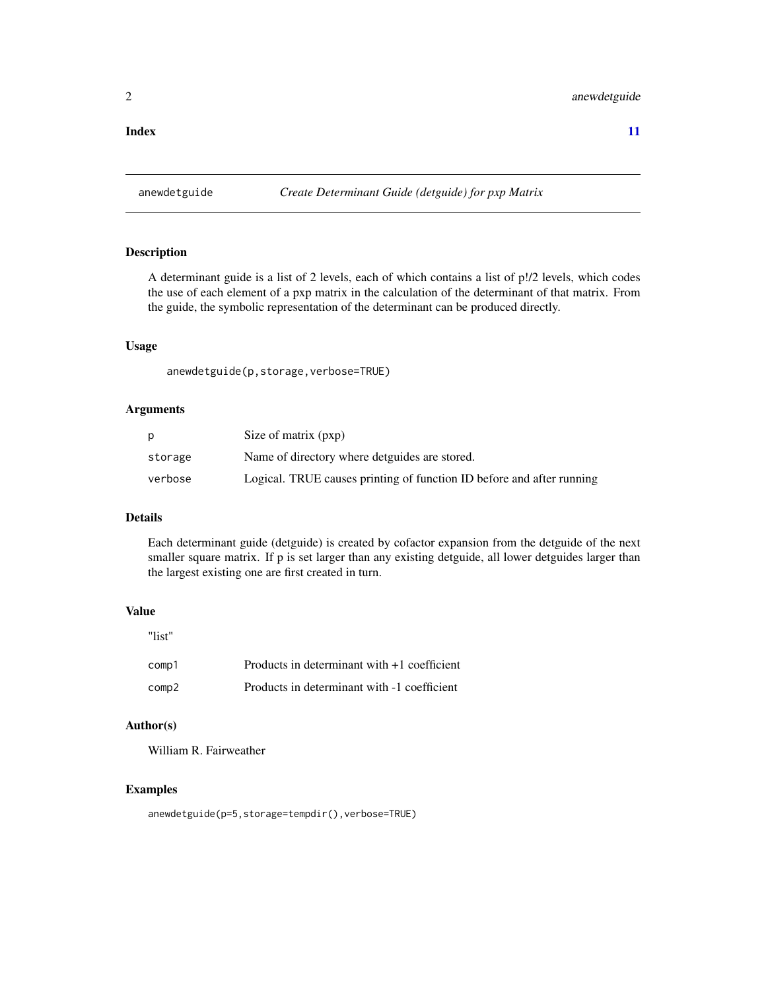#### <span id="page-1-0"></span>**Index** [11](#page-10-0)

anewdetguide *Create Determinant Guide (detguide) for pxp Matrix*

# Description

A determinant guide is a list of 2 levels, each of which contains a list of p!/2 levels, which codes the use of each element of a pxp matrix in the calculation of the determinant of that matrix. From the guide, the symbolic representation of the determinant can be produced directly.

#### Usage

anewdetguide(p,storage,verbose=TRUE)

#### Arguments

|         | Size of matrix (pxp)                                                  |
|---------|-----------------------------------------------------------------------|
| storage | Name of directory where detguides are stored.                         |
| verbose | Logical. TRUE causes printing of function ID before and after running |

#### Details

Each determinant guide (detguide) is created by cofactor expansion from the detguide of the next smaller square matrix. If p is set larger than any existing detguide, all lower detguides larger than the largest existing one are first created in turn.

# Value

"list"

| comp1 | Products in determinant with $+1$ coefficient |
|-------|-----------------------------------------------|
| comp2 | Products in determinant with -1 coefficient   |

### Author(s)

William R. Fairweather

### Examples

anewdetguide(p=5,storage=tempdir(),verbose=TRUE)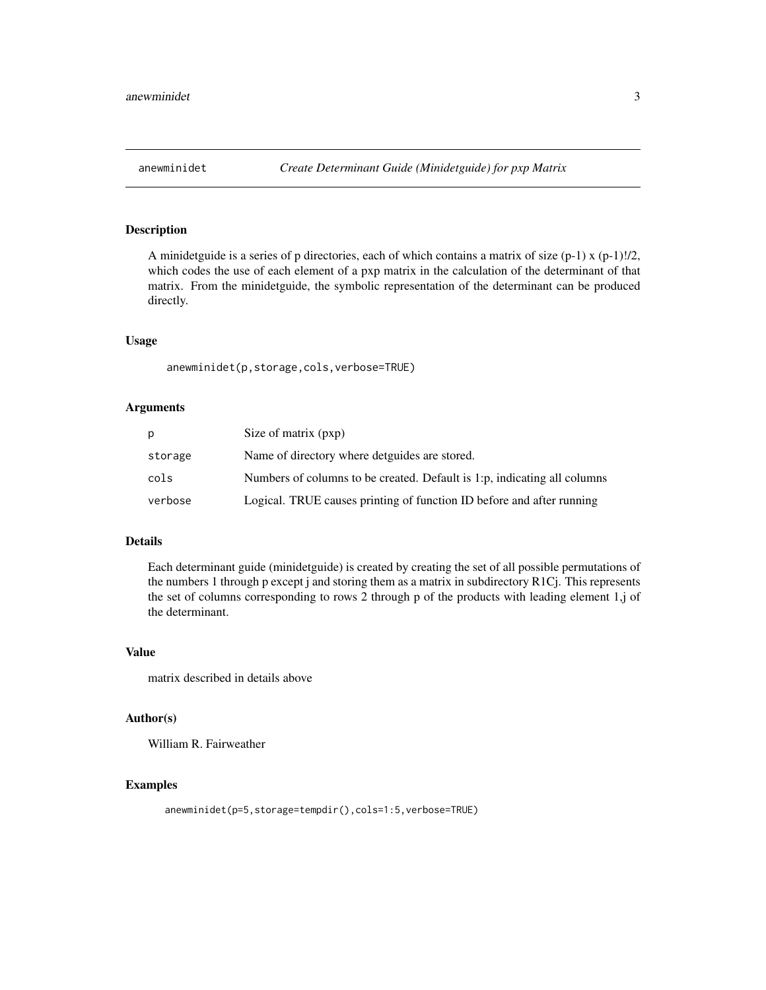<span id="page-2-0"></span>A minidetguide is a series of p directories, each of which contains a matrix of size  $(p-1) x (p-1)!/2$ , which codes the use of each element of a pxp matrix in the calculation of the determinant of that matrix. From the minidetguide, the symbolic representation of the determinant can be produced directly.

#### Usage

anewminidet(p,storage,cols,verbose=TRUE)

# Arguments

| D       | Size of matrix (pxp)                                                     |
|---------|--------------------------------------------------------------------------|
| storage | Name of directory where detguides are stored.                            |
| cols    | Numbers of columns to be created. Default is 1:p, indicating all columns |
| verbose | Logical. TRUE causes printing of function ID before and after running    |

# Details

Each determinant guide (minidetguide) is created by creating the set of all possible permutations of the numbers 1 through p except j and storing them as a matrix in subdirectory R1Cj. This represents the set of columns corresponding to rows 2 through p of the products with leading element 1,j of the determinant.

### Value

matrix described in details above

#### Author(s)

William R. Fairweather

```
anewminidet(p=5,storage=tempdir(),cols=1:5,verbose=TRUE)
```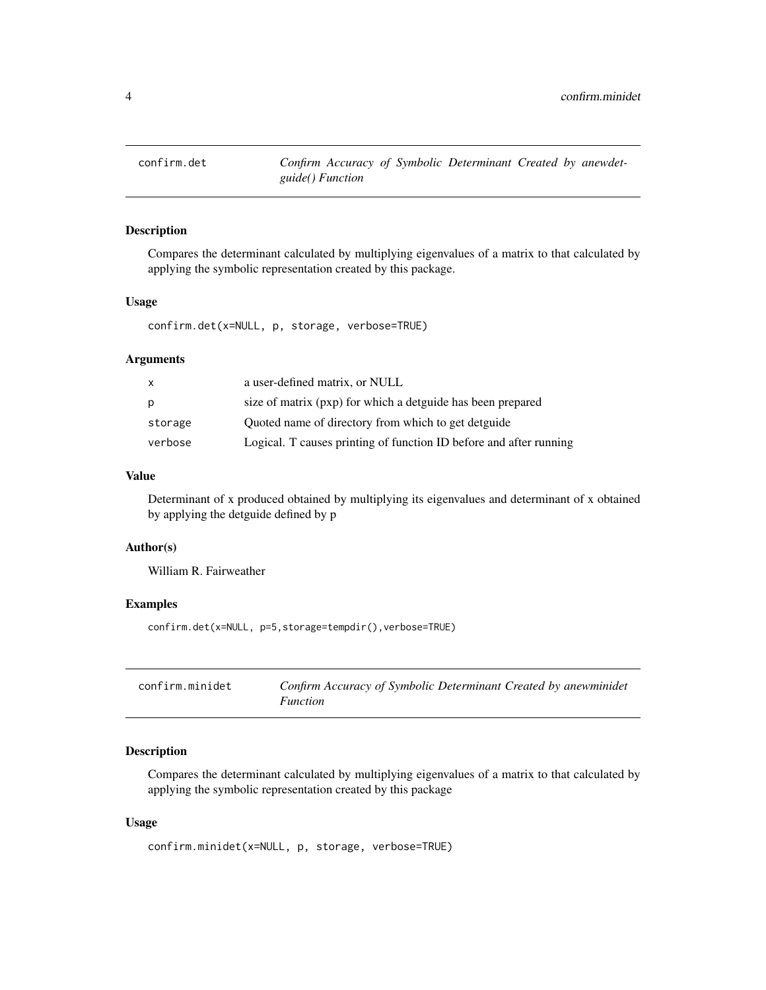<span id="page-3-0"></span>

Compares the determinant calculated by multiplying eigenvalues of a matrix to that calculated by applying the symbolic representation created by this package.

# Usage

confirm.det(x=NULL, p, storage, verbose=TRUE)

# Arguments

| x       | a user-defined matrix, or NULL                                     |
|---------|--------------------------------------------------------------------|
| p       | size of matrix (pxp) for which a detguide has been prepared        |
| storage | Quoted name of directory from which to get detguide                |
| verbose | Logical. T causes printing of function ID before and after running |

# Value

Determinant of x produced obtained by multiplying its eigenvalues and determinant of x obtained by applying the detguide defined by p

#### Author(s)

William R. Fairweather

# Examples

confirm.det(x=NULL, p=5,storage=tempdir(),verbose=TRUE)

| confirm.minidet | Confirm Accuracy of Symbolic Determinant Created by anewminidet |
|-----------------|-----------------------------------------------------------------|
|                 | <i>Function</i>                                                 |

# Description

Compares the determinant calculated by multiplying eigenvalues of a matrix to that calculated by applying the symbolic representation created by this package

#### Usage

confirm.minidet(x=NULL, p, storage, verbose=TRUE)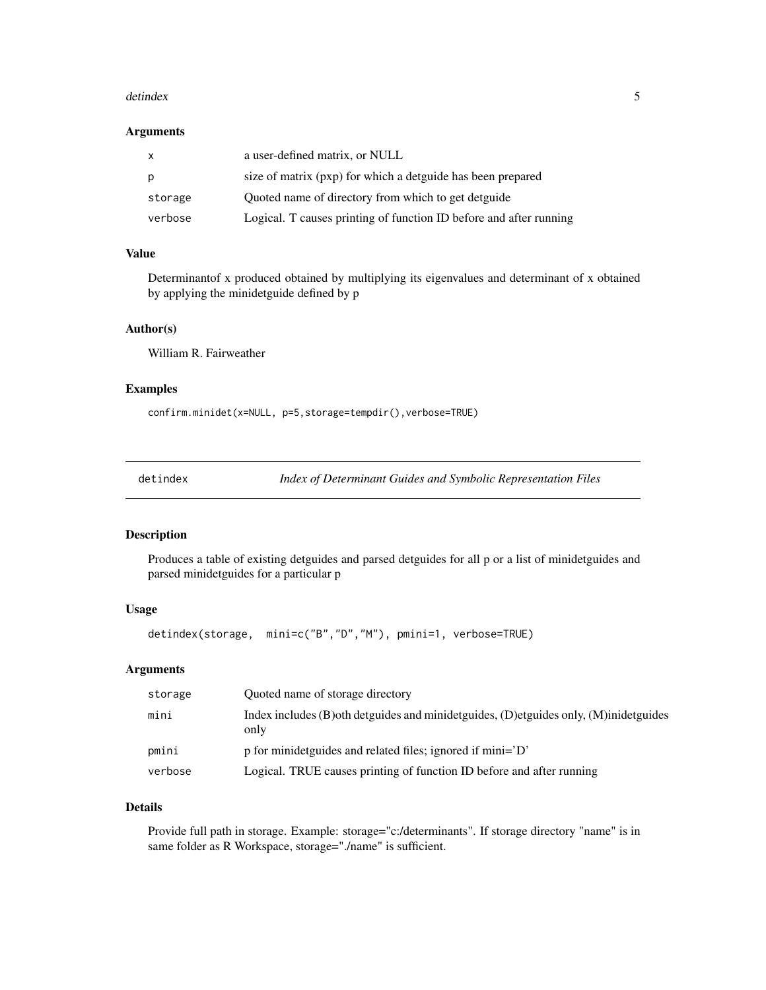#### <span id="page-4-0"></span>detindex 5

#### Arguments

| $\mathsf{X}$ | a user-defined matrix, or NULL                                     |
|--------------|--------------------------------------------------------------------|
| p            | size of matrix (pxp) for which a detguide has been prepared        |
| storage      | Quoted name of directory from which to get detguide                |
| verbose      | Logical. T causes printing of function ID before and after running |

# Value

Determinantof x produced obtained by multiplying its eigenvalues and determinant of x obtained by applying the minidetguide defined by p

# Author(s)

William R. Fairweather

#### Examples

confirm.minidet(x=NULL, p=5,storage=tempdir(),verbose=TRUE)

detindex *Index of Determinant Guides and Symbolic Representation Files*

# Description

Produces a table of existing detguides and parsed detguides for all p or a list of minidetguides and parsed minidetguides for a particular p

#### Usage

```
detindex(storage, mini=c("B","D","M"), pmini=1, verbose=TRUE)
```
#### Arguments

| storage | Ouoted name of storage directory                                                                |
|---------|-------------------------------------------------------------------------------------------------|
| mini    | Index includes (B) oth detguides and minidetguides, (D) etguides only, (M) inidetguides<br>only |
| pmini   | p for minidetguides and related files; ignored if mini='D'                                      |
| verbose | Logical. TRUE causes printing of function ID before and after running                           |

# Details

Provide full path in storage. Example: storage="c:/determinants". If storage directory "name" is in same folder as R Workspace, storage="./name" is sufficient.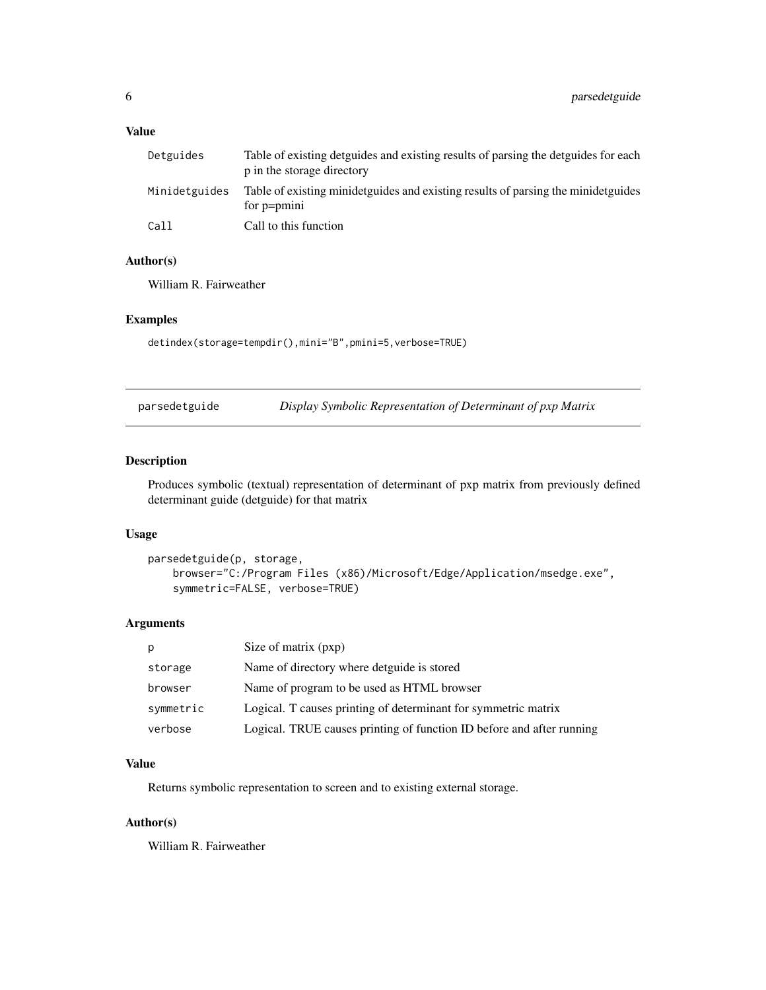# <span id="page-5-0"></span>Value

| Detguides     | Table of existing detguides and existing results of parsing the detguides for each<br>p in the storage directory |
|---------------|------------------------------------------------------------------------------------------------------------------|
| Minidetguides | Table of existing minidetguides and existing results of parsing the minidetguides<br>for p=pmini                 |
| Call          | Call to this function                                                                                            |

# Author(s)

William R. Fairweather

# Examples

detindex(storage=tempdir(),mini="B",pmini=5,verbose=TRUE)

| parsedetguide | Display Symbolic Representation of Determinant of pxp Matrix |  |  |
|---------------|--------------------------------------------------------------|--|--|
|               |                                                              |  |  |

# Description

Produces symbolic (textual) representation of determinant of pxp matrix from previously defined determinant guide (detguide) for that matrix

#### Usage

```
parsedetguide(p, storage,
    browser="C:/Program Files (x86)/Microsoft/Edge/Application/msedge.exe",
    symmetric=FALSE, verbose=TRUE)
```
#### Arguments

| p         | Size of matrix (pxp)                                                  |
|-----------|-----------------------------------------------------------------------|
| storage   | Name of directory where detguide is stored                            |
| browser   | Name of program to be used as HTML browser                            |
| symmetric | Logical. T causes printing of determinant for symmetric matrix        |
| verbose   | Logical. TRUE causes printing of function ID before and after running |

# Value

Returns symbolic representation to screen and to existing external storage.

# Author(s)

William R. Fairweather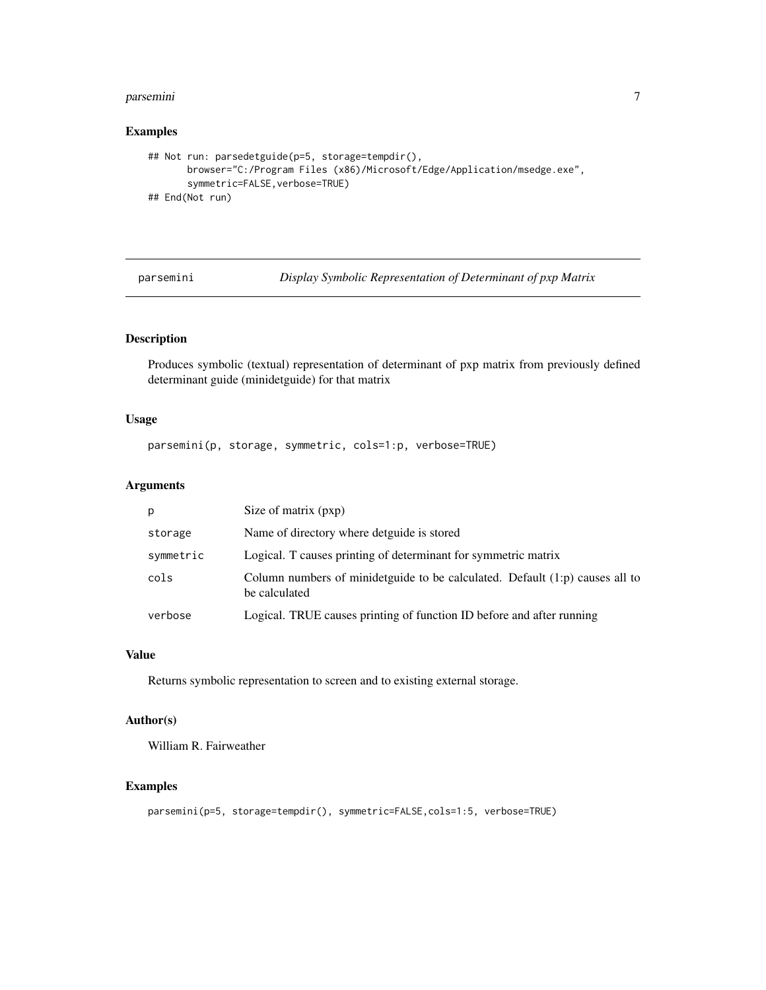#### <span id="page-6-0"></span>parsemini 70 metatra. Personali sebagai parsemini 70 metatra. Personali sebagai parsemini 70 metatra. Personal

# Examples

```
## Not run: parsedetguide(p=5, storage=tempdir(),
      browser="C:/Program Files (x86)/Microsoft/Edge/Application/msedge.exe",
      symmetric=FALSE,verbose=TRUE)
## End(Not run)
```
parsemini *Display Symbolic Representation of Determinant of pxp Matrix*

# Description

Produces symbolic (textual) representation of determinant of pxp matrix from previously defined determinant guide (minidetguide) for that matrix

# Usage

```
parsemini(p, storage, symmetric, cols=1:p, verbose=TRUE)
```
### Arguments

| p         | Size of matrix (pxp)                                                                            |
|-----------|-------------------------------------------------------------------------------------------------|
| storage   | Name of directory where detguide is stored                                                      |
| symmetric | Logical. T causes printing of determinant for symmetric matrix                                  |
| cols      | Column numbers of minidetguide to be calculated. Default $(1:p)$ causes all to<br>be calculated |
| verbose   | Logical. TRUE causes printing of function ID before and after running                           |

#### Value

Returns symbolic representation to screen and to existing external storage.

# Author(s)

William R. Fairweather

```
parsemini(p=5, storage=tempdir(), symmetric=FALSE,cols=1:5, verbose=TRUE)
```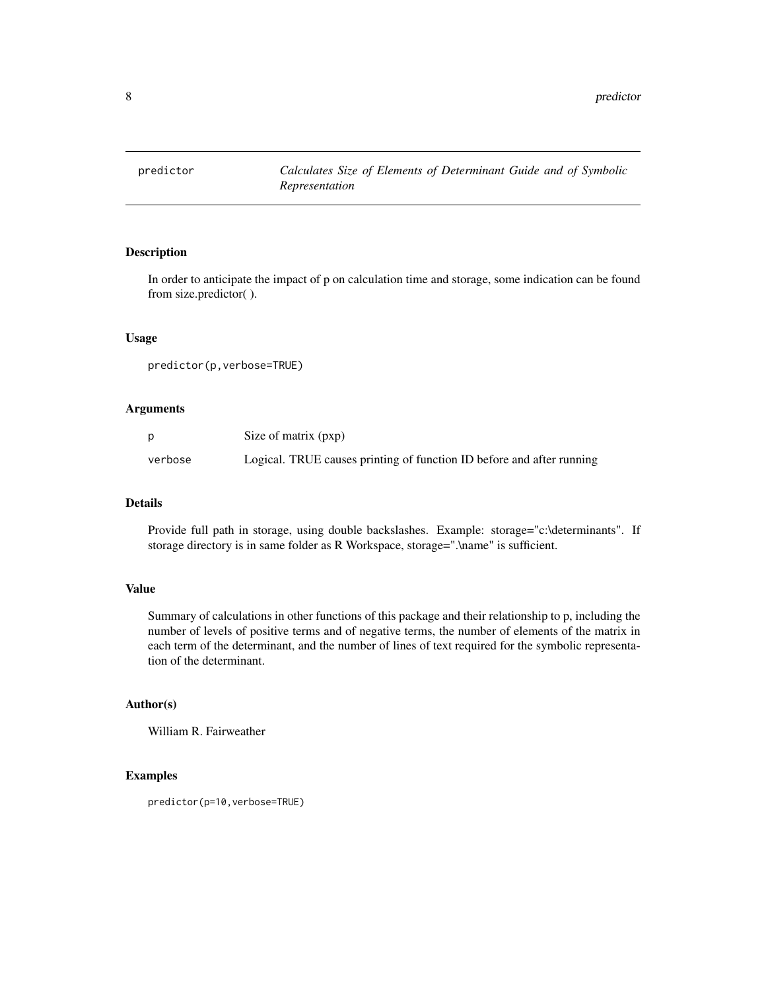<span id="page-7-0"></span>

In order to anticipate the impact of p on calculation time and storage, some indication can be found from size.predictor( ).

# Usage

```
predictor(p,verbose=TRUE)
```
#### Arguments

|         | Size of matrix (pxp)                                                  |
|---------|-----------------------------------------------------------------------|
| verbose | Logical. TRUE causes printing of function ID before and after running |

# Details

Provide full path in storage, using double backslashes. Example: storage="c:\determinants". If storage directory is in same folder as R Workspace, storage=".\name" is sufficient.

# Value

Summary of calculations in other functions of this package and their relationship to p, including the number of levels of positive terms and of negative terms, the number of elements of the matrix in each term of the determinant, and the number of lines of text required for the symbolic representation of the determinant.

# Author(s)

William R. Fairweather

#### Examples

predictor(p=10,verbose=TRUE)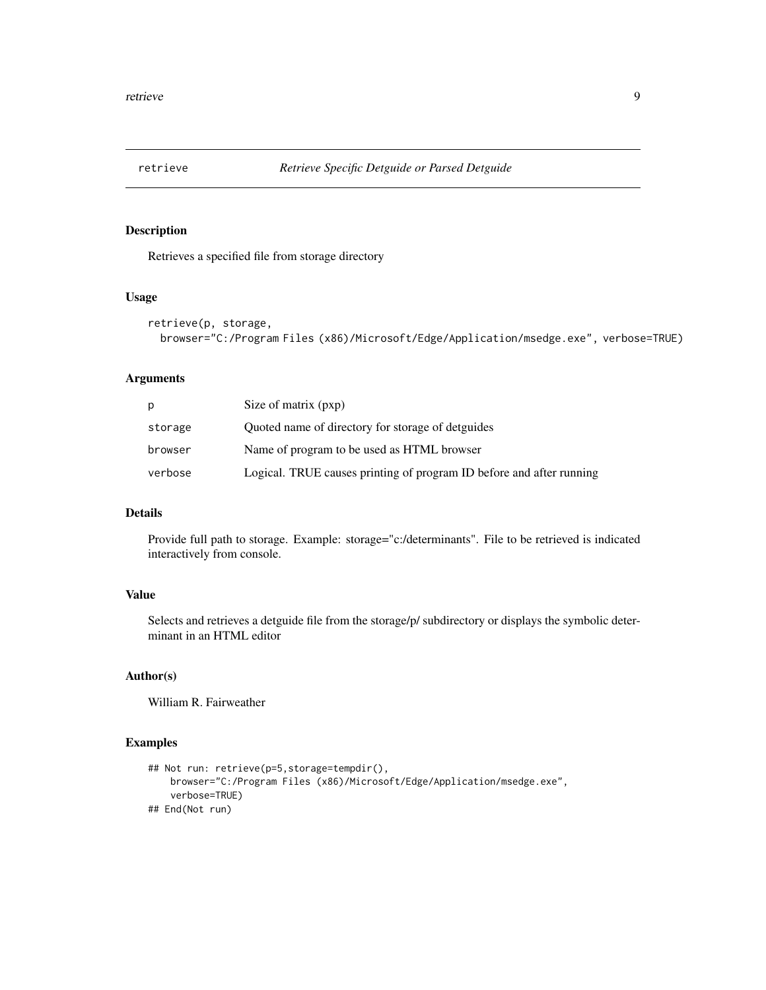<span id="page-8-0"></span>

Retrieves a specified file from storage directory

# Usage

```
retrieve(p, storage,
  browser="C:/Program Files (x86)/Microsoft/Edge/Application/msedge.exe", verbose=TRUE)
```
# Arguments

| p       | Size of matrix (pxp)                                                 |
|---------|----------------------------------------------------------------------|
| storage | Quoted name of directory for storage of detguides                    |
| browser | Name of program to be used as HTML browser                           |
| verbose | Logical. TRUE causes printing of program ID before and after running |

### Details

Provide full path to storage. Example: storage="c:/determinants". File to be retrieved is indicated interactively from console.

# Value

Selects and retrieves a detguide file from the storage/p/ subdirectory or displays the symbolic determinant in an HTML editor

#### Author(s)

William R. Fairweather

```
## Not run: retrieve(p=5,storage=tempdir(),
   browser="C:/Program Files (x86)/Microsoft/Edge/Application/msedge.exe",
    verbose=TRUE)
## End(Not run)
```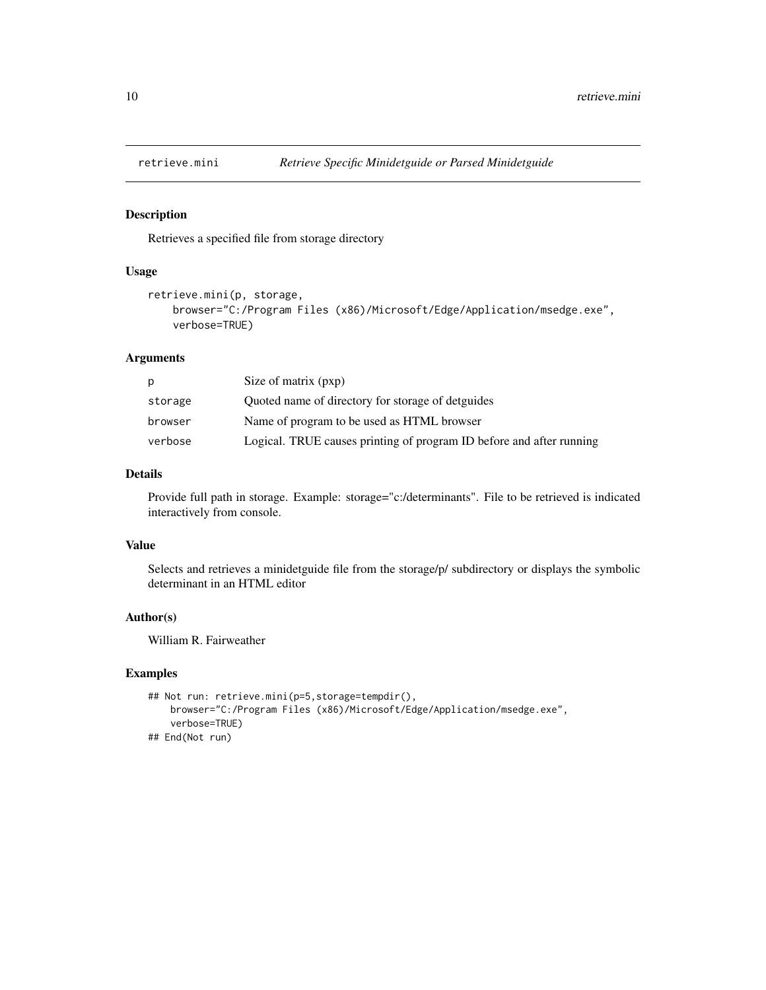<span id="page-9-0"></span>

Retrieves a specified file from storage directory

#### Usage

```
retrieve.mini(p, storage,
   browser="C:/Program Files (x86)/Microsoft/Edge/Application/msedge.exe",
   verbose=TRUE)
```
# Arguments

| р       | Size of matrix (pxp)                                                 |
|---------|----------------------------------------------------------------------|
| storage | Quoted name of directory for storage of detguides                    |
| browser | Name of program to be used as HTML browser                           |
| verbose | Logical. TRUE causes printing of program ID before and after running |

# Details

Provide full path in storage. Example: storage="c:/determinants". File to be retrieved is indicated interactively from console.

#### Value

Selects and retrieves a minidetguide file from the storage/p/ subdirectory or displays the symbolic determinant in an HTML editor

# Author(s)

William R. Fairweather

```
## Not run: retrieve.mini(p=5,storage=tempdir(),
   browser="C:/Program Files (x86)/Microsoft/Edge/Application/msedge.exe",
   verbose=TRUE)
## End(Not run)
```